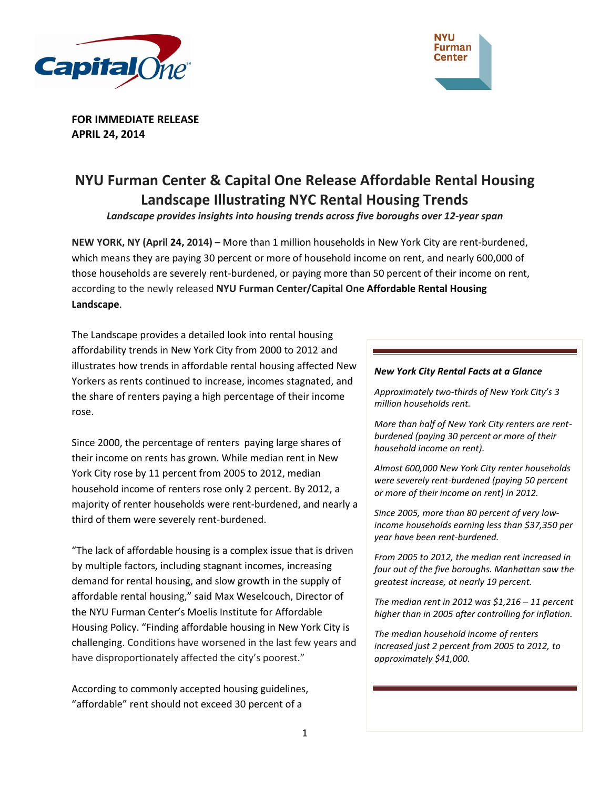



**FOR IMMEDIATE RELEASE APRIL 24, 2014**

# **NYU Furman Center & Capital One Release Affordable Rental Housing Landscape Illustrating NYC Rental Housing Trends**

*Landscape provides insights into housing trends across five boroughs over 12-year span*

**NEW YORK, NY (April 24, 2014) –** More than 1 million households in New York City are rent-burdened, which means they are paying 30 percent or more of household income on rent, and nearly 600,000 of those households are severely rent-burdened, or paying more than 50 percent of their income on rent, according to the newly released **NYU Furman Center/Capital One Affordable Rental Housing Landscape**.

The Landscape provides a detailed look into rental housing affordability trends in New York City from 2000 to 2012 and illustrates how trends in affordable rental housing affected New Yorkers as rents continued to increase, incomes stagnated, and the share of renters paying a high percentage of their income rose.

Since 2000, the percentage of renters paying large shares of their income on rents has grown. While median rent in New York City rose by 11 percent from 2005 to 2012, median household income of renters rose only 2 percent. By 2012, a majority of renter households were rent-burdened, and nearly a third of them were severely rent-burdened.

"The lack of affordable housing is a complex issue that is driven by multiple factors, including stagnant incomes, increasing demand for rental housing, and slow growth in the supply of affordable rental housing," said Max Weselcouch, Director of the NYU Furman Center's Moelis Institute for Affordable Housing Policy. "Finding affordable housing in New York City is challenging. Conditions have worsened in the last few years and have disproportionately affected the city's poorest."

According to commonly accepted housing guidelines, "affordable" rent should not exceed 30 percent of a

#### *New York City Rental Facts at a Glance*

*Approximately two-thirds of New York City's 3 million households rent.*

*More than half of New York City renters are rentburdened (paying 30 percent or more of their household income on rent).*

*Almost 600,000 New York City renter households were severely rent-burdened (paying 50 percent or more of their income on rent) in 2012.* 

*Since 2005, more than 80 percent of very lowincome households earning less than \$37,350 per year have been rent-burdened.*

*From 2005 to 2012, the median rent increased in four out of the five boroughs. Manhattan saw the greatest increase, at nearly 19 percent.*

*The median rent in 2012 was \$1,216 – 11 percent higher than in 2005 after controlling for inflation.*

*The median household income of renters increased just 2 percent from 2005 to 2012, to approximately \$41,000.*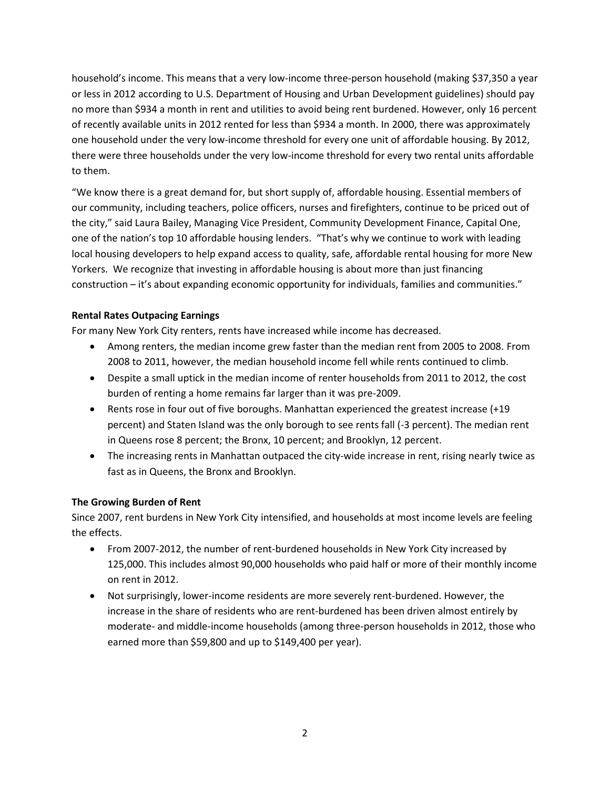household's income. This means that a very low-income three-person household (making \$37,350 a year or less in 2012 according to U.S. Department of Housing and Urban Development guidelines) should pay no more than \$934 a month in rent and utilities to avoid being rent burdened. However, only 16 percent of recently available units in 2012 rented for less than \$934 a month. In 2000, there was approximately one household under the very low-income threshold for every one unit of affordable housing. By 2012, there were three households under the very low-income threshold for every two rental units affordable to them.

"We know there is a great demand for, but short supply of, affordable housing. Essential members of our community, including teachers, police officers, nurses and firefighters, continue to be priced out of the city," said Laura Bailey, Managing Vice President, Community Development Finance, Capital One, one of the nation's top 10 affordable housing lenders. "That's why we continue to work with leading local housing developers to help expand access to quality, safe, affordable rental housing for more New Yorkers. We recognize that investing in affordable housing is about more than just financing construction – it's about expanding economic opportunity for individuals, families and communities."

# **Rental Rates Outpacing Earnings**

For many New York City renters, rents have increased while income has decreased.

- Among renters, the median income grew faster than the median rent from 2005 to 2008. From 2008 to 2011, however, the median household income fell while rents continued to climb.
- Despite a small uptick in the median income of renter households from 2011 to 2012, the cost burden of renting a home remains far larger than it was pre-2009.
- Rents rose in four out of five boroughs. Manhattan experienced the greatest increase (+19) percent) and Staten Island was the only borough to see rents fall (-3 percent). The median rent in Queens rose 8 percent; the Bronx, 10 percent; and Brooklyn, 12 percent.
- The increasing rents in Manhattan outpaced the city-wide increase in rent, rising nearly twice as fast as in Queens, the Bronx and Brooklyn.

# **The Growing Burden of Rent**

Since 2007, rent burdens in New York City intensified, and households at most income levels are feeling the effects.

- From 2007-2012, the number of rent-burdened households in New York City increased by 125,000. This includes almost 90,000 households who paid half or more of their monthly income on rent in 2012.
- Not surprisingly, lower-income residents are more severely rent-burdened. However, the increase in the share of residents who are rent-burdened has been driven almost entirely by moderate- and middle-income households (among three-person households in 2012, those who earned more than \$59,800 and up to \$149,400 per year).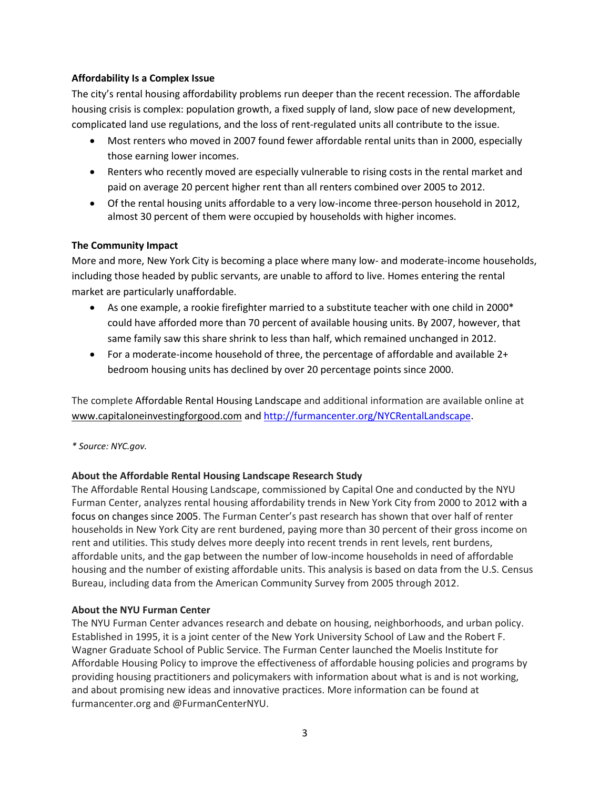# **Affordability Is a Complex Issue**

The city's rental housing affordability problems run deeper than the recent recession. The affordable housing crisis is complex: population growth, a fixed supply of land, slow pace of new development, complicated land use regulations, and the loss of rent-regulated units all contribute to the issue.

- Most renters who moved in 2007 found fewer affordable rental units than in 2000, especially those earning lower incomes.
- Renters who recently moved are especially vulnerable to rising costs in the rental market and paid on average 20 percent higher rent than all renters combined over 2005 to 2012.
- Of the rental housing units affordable to a very low-income three-person household in 2012, almost 30 percent of them were occupied by households with higher incomes.

# **The Community Impact**

More and more, New York City is becoming a place where many low- and moderate-income households, including those headed by public servants, are unable to afford to live. Homes entering the rental market are particularly unaffordable.

- As one example, a rookie firefighter married to a substitute teacher with one child in 2000\* could have afforded more than 70 percent of available housing units. By 2007, however, that same family saw this share shrink to less than half, which remained unchanged in 2012.
- For a moderate-income household of three, the percentage of affordable and available 2+ bedroom housing units has declined by over 20 percentage points since 2000.

The complete Affordable Rental Housing Landscape and additional information are available online at [www.capitaloneinvestingforgood.com](http://www.capitaloneinvestingforgood.com/) an[d http://furmancenter.org/NYCRentalLandscape.](http://furmancenter.org/NYCRentalLandscape)

*\* Source: NYC.gov.*

#### **About the Affordable Rental Housing Landscape Research Study**

The Affordable Rental Housing Landscape, commissioned by Capital One and conducted by the NYU Furman Center, analyzes rental housing affordability trends in New York City from 2000 to 2012 with a focus on changes since 2005. The Furman Center's past research has shown that over half of renter households in New York City are rent burdened, paying more than 30 percent of their gross income on rent and utilities. This study delves more deeply into recent trends in rent levels, rent burdens, affordable units, and the gap between the number of low-income households in need of affordable housing and the number of existing affordable units. This analysis is based on data from the U.S. Census Bureau, including data from the American Community Survey from 2005 through 2012.

#### **About the NYU Furman Center**

The NYU Furman Center advances research and debate on housing, neighborhoods, and urban policy. Established in 1995, it is a joint center of the New York University School of Law and the Robert F. Wagner Graduate School of Public Service. The Furman Center launched the Moelis Institute for Affordable Housing Policy to improve the effectiveness of affordable housing policies and programs by providing housing practitioners and policymakers with information about what is and is not working, and about promising new ideas and innovative practices. More information can be found at furmancenter.org and @FurmanCenterNYU.